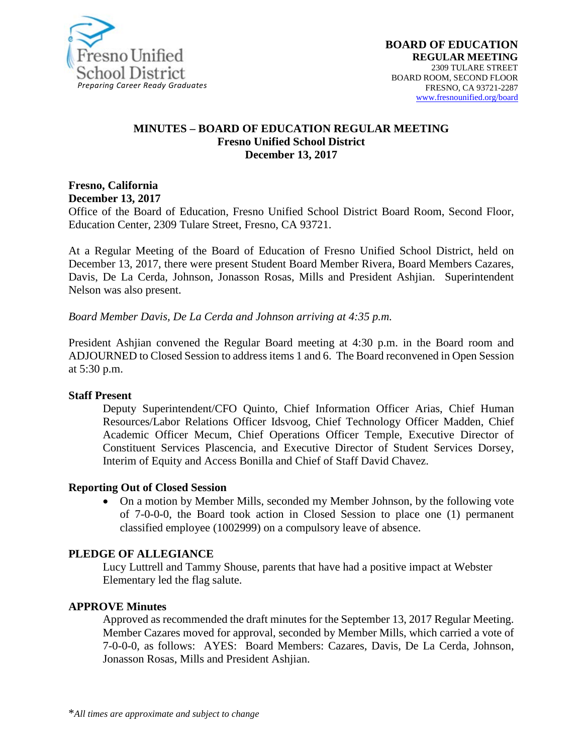

#### **MINUTES – BOARD OF EDUCATION REGULAR MEETING Fresno Unified School District December 13, 2017**

**Fresno, California December 13, 2017** 

Office of the Board of Education, Fresno Unified School District Board Room, Second Floor, Education Center, 2309 Tulare Street, Fresno, CA 93721.

At a Regular Meeting of the Board of Education of Fresno Unified School District, held on December 13, 2017, there were present Student Board Member Rivera, Board Members Cazares, Davis, De La Cerda, Johnson, Jonasson Rosas, Mills and President Ashjian. Superintendent Nelson was also present.

*Board Member Davis, De La Cerda and Johnson arriving at 4:35 p.m.*

President Ashjian convened the Regular Board meeting at 4:30 p.m. in the Board room and ADJOURNED to Closed Session to address items 1 and 6. The Board reconvened in Open Session at 5:30 p.m.

#### **Staff Present**

Deputy Superintendent/CFO Quinto, Chief Information Officer Arias, Chief Human Resources/Labor Relations Officer Idsvoog, Chief Technology Officer Madden, Chief Academic Officer Mecum, Chief Operations Officer Temple, Executive Director of Constituent Services Plascencia, and Executive Director of Student Services Dorsey, Interim of Equity and Access Bonilla and Chief of Staff David Chavez.

#### **Reporting Out of Closed Session**

• On a motion by Member Mills, seconded my Member Johnson, by the following vote of 7-0-0-0, the Board took action in Closed Session to place one (1) permanent classified employee (1002999) on a compulsory leave of absence.

#### **PLEDGE OF ALLEGIANCE**

Lucy Luttrell and Tammy Shouse, parents that have had a positive impact at Webster Elementary led the flag salute.

#### **APPROVE Minutes**

Approved as recommended the draft minutes for the September 13, 2017 Regular Meeting. Member Cazares moved for approval, seconded by Member Mills, which carried a vote of 7-0-0-0, as follows: AYES: Board Members: Cazares, Davis, De La Cerda, Johnson, Jonasson Rosas, Mills and President Ashjian.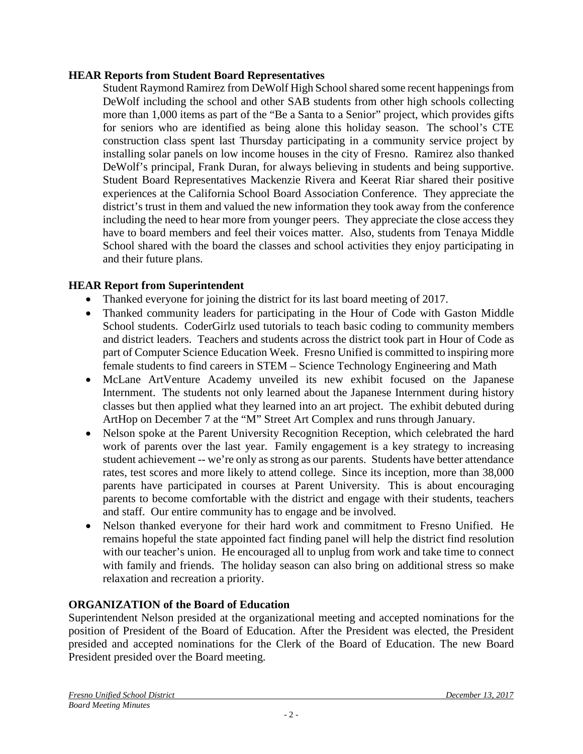### **HEAR Reports from Student Board Representatives**

Student Raymond Ramirez from DeWolf High School shared some recent happenings from DeWolf including the school and other SAB students from other high schools collecting more than 1,000 items as part of the "Be a Santa to a Senior" project, which provides gifts for seniors who are identified as being alone this holiday season. The school's CTE construction class spent last Thursday participating in a community service project by installing solar panels on low income houses in the city of Fresno. Ramirez also thanked DeWolf's principal, Frank Duran, for always believing in students and being supportive. Student Board Representatives Mackenzie Rivera and Keerat Riar shared their positive experiences at the California School Board Association Conference. They appreciate the district's trust in them and valued the new information they took away from the conference including the need to hear more from younger peers. They appreciate the close access they have to board members and feel their voices matter. Also, students from Tenaya Middle School shared with the board the classes and school activities they enjoy participating in and their future plans.

## **HEAR Report from Superintendent**

- Thanked everyone for joining the district for its last board meeting of 2017.
- Thanked community leaders for participating in the Hour of Code with Gaston Middle School students. CoderGirlz used tutorials to teach basic coding to community members and district leaders. Teachers and students across the district took part in Hour of Code as part of Computer Science Education Week. Fresno Unified is committed to inspiring more female students to find careers in STEM – Science Technology Engineering and Math
- McLane ArtVenture Academy unveiled its new exhibit focused on the Japanese Internment. The students not only learned about the Japanese Internment during history classes but then applied what they learned into an art project. The exhibit debuted during ArtHop on December 7 at the "M" Street Art Complex and runs through January.
- Nelson spoke at the Parent University Recognition Reception, which celebrated the hard work of parents over the last year. Family engagement is a key strategy to increasing student achievement -- we're only as strong as our parents. Students have better attendance rates, test scores and more likely to attend college. Since its inception, more than 38,000 parents have participated in courses at Parent University. This is about encouraging parents to become comfortable with the district and engage with their students, teachers and staff. Our entire community has to engage and be involved.
- Nelson thanked everyone for their hard work and commitment to Fresno Unified. He remains hopeful the state appointed fact finding panel will help the district find resolution with our teacher's union. He encouraged all to unplug from work and take time to connect with family and friends. The holiday season can also bring on additional stress so make relaxation and recreation a priority.

## **ORGANIZATION of the Board of Education**

Superintendent Nelson presided at the organizational meeting and accepted nominations for the position of President of the Board of Education. After the President was elected, the President presided and accepted nominations for the Clerk of the Board of Education. The new Board President presided over the Board meeting.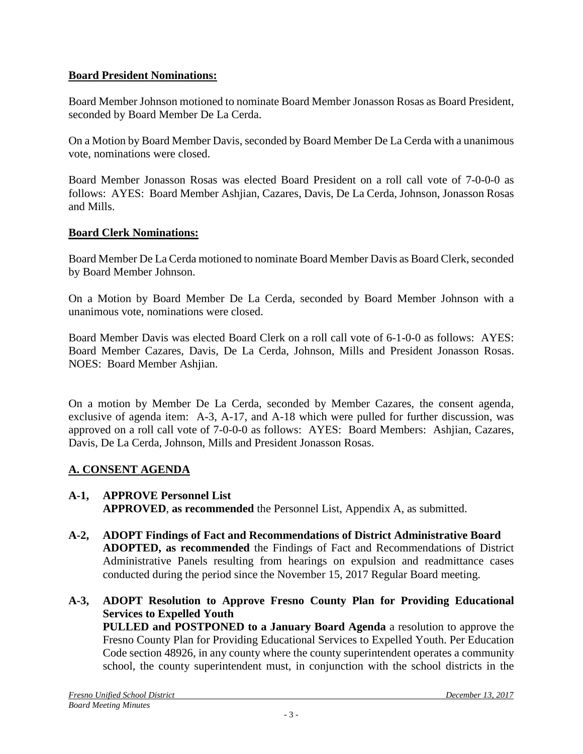### **Board President Nominations:**

Board Member Johnson motioned to nominate Board Member Jonasson Rosas as Board President, seconded by Board Member De La Cerda.

On a Motion by Board Member Davis, seconded by Board Member De La Cerda with a unanimous vote, nominations were closed.

Board Member Jonasson Rosas was elected Board President on a roll call vote of 7-0-0-0 as follows: AYES: Board Member Ashjian, Cazares, Davis, De La Cerda, Johnson, Jonasson Rosas and Mills.

#### **Board Clerk Nominations:**

Board Member De La Cerda motioned to nominate Board Member Davis as Board Clerk, seconded by Board Member Johnson.

On a Motion by Board Member De La Cerda, seconded by Board Member Johnson with a unanimous vote, nominations were closed.

Board Member Davis was elected Board Clerk on a roll call vote of 6-1-0-0 as follows: AYES: Board Member Cazares, Davis, De La Cerda, Johnson, Mills and President Jonasson Rosas. NOES: Board Member Ashjian.

On a motion by Member De La Cerda, seconded by Member Cazares, the consent agenda, exclusive of agenda item: A-3, A-17, and A-18 which were pulled for further discussion, was approved on a roll call vote of 7-0-0-0 as follows: AYES: Board Members: Ashjian, Cazares, Davis, De La Cerda, Johnson, Mills and President Jonasson Rosas.

## **A. CONSENT AGENDA**

- **A-1, APPROVE Personnel List APPROVED**, **as recommended** the Personnel List, Appendix A, as submitted.
- **A-2, ADOPT Findings of Fact and Recommendations of District Administrative Board ADOPTED, as recommended** the Findings of Fact and Recommendations of District Administrative Panels resulting from hearings on expulsion and readmittance cases conducted during the period since the November 15, 2017 Regular Board meeting.
- **A-3, ADOPT Resolution to Approve Fresno County Plan for Providing Educational Services to Expelled Youth**

**PULLED and POSTPONED to a January Board Agenda** a resolution to approve the Fresno County Plan for Providing Educational Services to Expelled Youth. Per Education Code section 48926, in any county where the county superintendent operates a community school, the county superintendent must, in conjunction with the school districts in the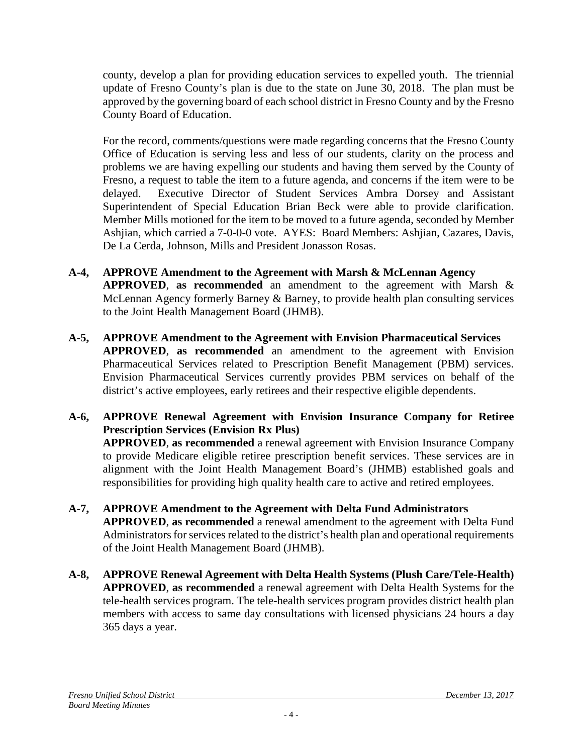county, develop a plan for providing education services to expelled youth. The triennial update of Fresno County's plan is due to the state on June 30, 2018. The plan must be approved by the governing board of each school district in Fresno County and by the Fresno County Board of Education.

For the record, comments/questions were made regarding concerns that the Fresno County Office of Education is serving less and less of our students, clarity on the process and problems we are having expelling our students and having them served by the County of Fresno, a request to table the item to a future agenda, and concerns if the item were to be delayed. Executive Director of Student Services Ambra Dorsey and Assistant Superintendent of Special Education Brian Beck were able to provide clarification. Member Mills motioned for the item to be moved to a future agenda, seconded by Member Ashjian, which carried a 7-0-0-0 vote. AYES: Board Members: Ashjian, Cazares, Davis, De La Cerda, Johnson, Mills and President Jonasson Rosas.

- **A-4, APPROVE Amendment to the Agreement with Marsh & McLennan Agency APPROVED**, **as recommended** an amendment to the agreement with Marsh & McLennan Agency formerly Barney & Barney, to provide health plan consulting services to the Joint Health Management Board (JHMB).
- **A-5, APPROVE Amendment to the Agreement with Envision Pharmaceutical Services APPROVED**, **as recommended** an amendment to the agreement with Envision Pharmaceutical Services related to Prescription Benefit Management (PBM) services. Envision Pharmaceutical Services currently provides PBM services on behalf of the district's active employees, early retirees and their respective eligible dependents.
- **A-6, APPROVE Renewal Agreement with Envision Insurance Company for Retiree Prescription Services (Envision Rx Plus)**

**APPROVED**, **as recommended** a renewal agreement with Envision Insurance Company to provide Medicare eligible retiree prescription benefit services. These services are in alignment with the Joint Health Management Board's (JHMB) established goals and responsibilities for providing high quality health care to active and retired employees.

- **A-7, APPROVE Amendment to the Agreement with Delta Fund Administrators APPROVED**, **as recommended** a renewal amendment to the agreement with Delta Fund Administrators for services related to the district's health plan and operational requirements of the Joint Health Management Board (JHMB).
- **A-8, APPROVE Renewal Agreement with Delta Health Systems (Plush Care/Tele-Health) APPROVED**, **as recommended** a renewal agreement with Delta Health Systems for the tele-health services program. The tele-health services program provides district health plan members with access to same day consultations with licensed physicians 24 hours a day 365 days a year.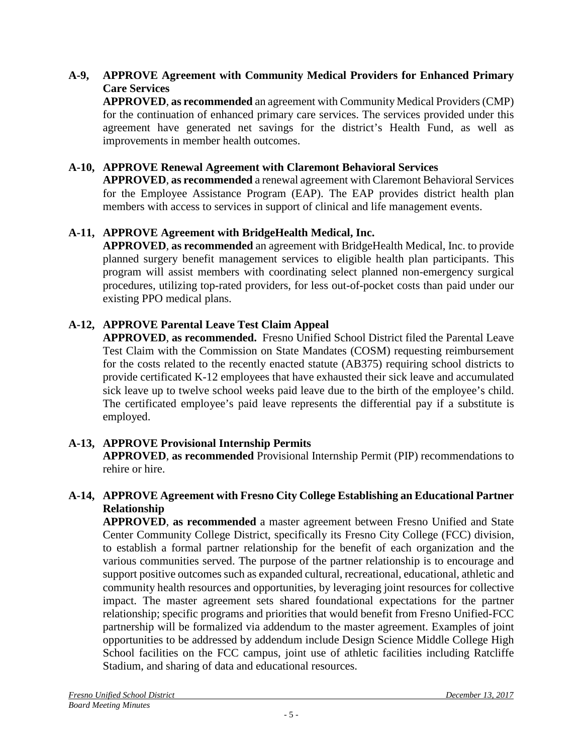## **A-9, APPROVE Agreement with Community Medical Providers for Enhanced Primary Care Services**

**APPROVED**, **as recommended** an agreement with Community Medical Providers (CMP) for the continuation of enhanced primary care services. The services provided under this agreement have generated net savings for the district's Health Fund, as well as improvements in member health outcomes.

### **A-10, APPROVE Renewal Agreement with Claremont Behavioral Services**

**APPROVED**, **as recommended** a renewal agreement with Claremont Behavioral Services for the Employee Assistance Program (EAP). The EAP provides district health plan members with access to services in support of clinical and life management events.

## **A-11, APPROVE Agreement with BridgeHealth Medical, Inc.**

**APPROVED**, **as recommended** an agreement with BridgeHealth Medical, Inc. to provide planned surgery benefit management services to eligible health plan participants. This program will assist members with coordinating select planned non-emergency surgical procedures, utilizing top-rated providers, for less out-of-pocket costs than paid under our existing PPO medical plans.

## **A-12, APPROVE Parental Leave Test Claim Appeal**

**APPROVED**, **as recommended.** Fresno Unified School District filed the Parental Leave Test Claim with the Commission on State Mandates (COSM) requesting reimbursement for the costs related to the recently enacted statute (AB375) requiring school districts to provide certificated K-12 employees that have exhausted their sick leave and accumulated sick leave up to twelve school weeks paid leave due to the birth of the employee's child. The certificated employee's paid leave represents the differential pay if a substitute is employed.

## **A-13, APPROVE Provisional Internship Permits**

**APPROVED**, **as recommended** Provisional Internship Permit (PIP) recommendations to rehire or hire.

#### **A-14, APPROVE Agreement with Fresno City College Establishing an Educational Partner Relationship**

**APPROVED**, **as recommended** a master agreement between Fresno Unified and State Center Community College District, specifically its Fresno City College (FCC) division, to establish a formal partner relationship for the benefit of each organization and the various communities served. The purpose of the partner relationship is to encourage and support positive outcomes such as expanded cultural, recreational, educational, athletic and community health resources and opportunities, by leveraging joint resources for collective impact. The master agreement sets shared foundational expectations for the partner relationship; specific programs and priorities that would benefit from Fresno Unified-FCC partnership will be formalized via addendum to the master agreement. Examples of joint opportunities to be addressed by addendum include Design Science Middle College High School facilities on the FCC campus, joint use of athletic facilities including Ratcliffe Stadium, and sharing of data and educational resources.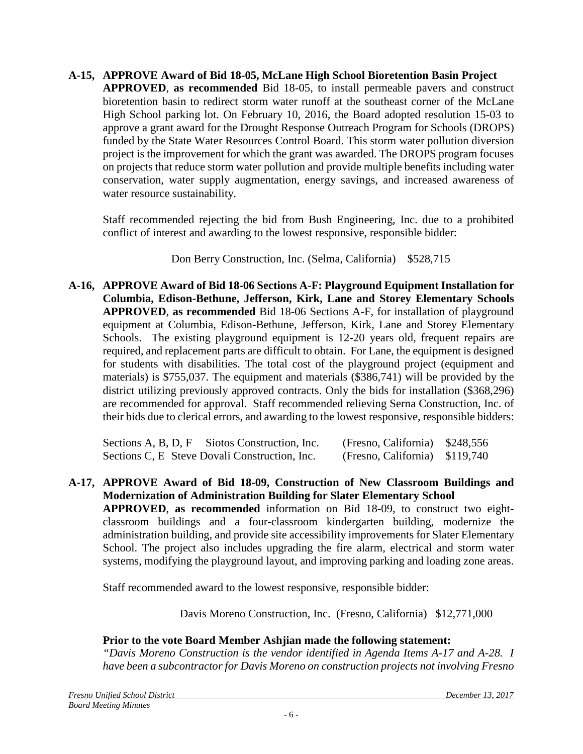**A-15, APPROVE Award of Bid 18-05, McLane High School Bioretention Basin Project APPROVED**, **as recommended** Bid 18-05, to install permeable pavers and construct bioretention basin to redirect storm water runoff at the southeast corner of the McLane High School parking lot. On February 10, 2016, the Board adopted resolution 15-03 to approve a grant award for the Drought Response Outreach Program for Schools (DROPS) funded by the State Water Resources Control Board. This storm water pollution diversion project is the improvement for which the grant was awarded. The DROPS program focuses on projects that reduce storm water pollution and provide multiple benefits including water conservation, water supply augmentation, energy savings, and increased awareness of water resource sustainability.

Staff recommended rejecting the bid from Bush Engineering, Inc. due to a prohibited conflict of interest and awarding to the lowest responsive, responsible bidder:

Don Berry Construction, Inc. (Selma, California) \$528,715

**A-16, APPROVE Award of Bid 18-06 Sections A-F: Playground Equipment Installation for Columbia, Edison-Bethune, Jefferson, Kirk, Lane and Storey Elementary Schools APPROVED**, **as recommended** Bid 18-06 Sections A-F, for installation of playground equipment at Columbia, Edison-Bethune, Jefferson, Kirk, Lane and Storey Elementary Schools. The existing playground equipment is 12-20 years old, frequent repairs are required, and replacement parts are difficult to obtain. For Lane, the equipment is designed for students with disabilities. The total cost of the playground project (equipment and materials) is \$755,037. The equipment and materials (\$386,741) will be provided by the district utilizing previously approved contracts. Only the bids for installation (\$368,296) are recommended for approval. Staff recommended relieving Serna Construction, Inc. of their bids due to clerical errors, and awarding to the lowest responsive, responsible bidders:

Sections A, B, D, F Siotos Construction, Inc. (Fresno, California) \$248,556 Sections C, E Steve Dovali Construction, Inc. (Fresno, California) \$119,740

**A-17, APPROVE Award of Bid 18-09, Construction of New Classroom Buildings and Modernization of Administration Building for Slater Elementary School APPROVED**, **as recommended** information on Bid 18-09, to construct two eightclassroom buildings and a four-classroom kindergarten building, modernize the administration building, and provide site accessibility improvements for Slater Elementary School. The project also includes upgrading the fire alarm, electrical and storm water systems, modifying the playground layout, and improving parking and loading zone areas.

Staff recommended award to the lowest responsive, responsible bidder:

Davis Moreno Construction, Inc. (Fresno, California) \$12,771,000

# **Prior to the vote Board Member Ashjian made the following statement:**

*"Davis Moreno Construction is the vendor identified in Agenda Items A-17 and A-28. I have been a subcontractor for Davis Moreno on construction projects not involving Fresno*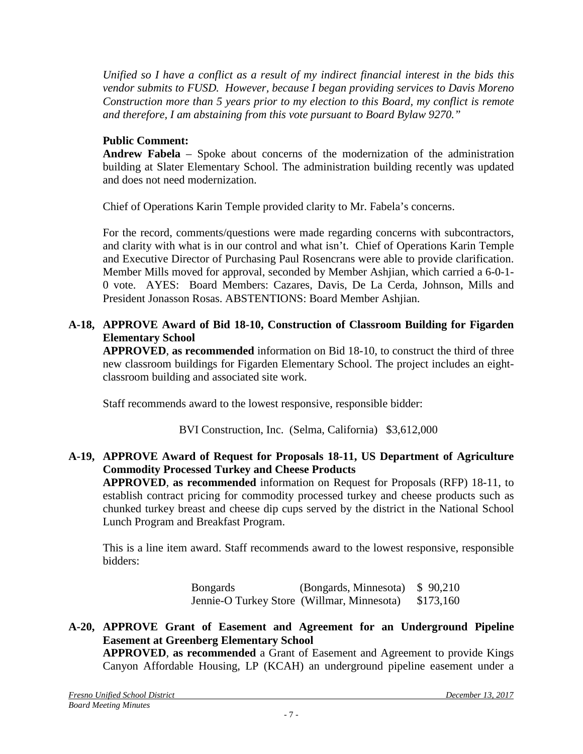*Unified so I have a conflict as a result of my indirect financial interest in the bids this vendor submits to FUSD. However, because I began providing services to Davis Moreno Construction more than 5 years prior to my election to this Board, my conflict is remote and therefore, I am abstaining from this vote pursuant to Board Bylaw 9270."*

### **Public Comment:**

**Andrew Fabela** – Spoke about concerns of the modernization of the administration building at Slater Elementary School. The administration building recently was updated and does not need modernization.

Chief of Operations Karin Temple provided clarity to Mr. Fabela's concerns.

For the record, comments/questions were made regarding concerns with subcontractors, and clarity with what is in our control and what isn't. Chief of Operations Karin Temple and Executive Director of Purchasing Paul Rosencrans were able to provide clarification. Member Mills moved for approval, seconded by Member Ashjian, which carried a 6-0-1- 0 vote. AYES: Board Members: Cazares, Davis, De La Cerda, Johnson, Mills and President Jonasson Rosas. ABSTENTIONS: Board Member Ashjian.

### **A-18, APPROVE Award of Bid 18-10, Construction of Classroom Building for Figarden Elementary School**

**APPROVED**, **as recommended** information on Bid 18-10, to construct the third of three new classroom buildings for Figarden Elementary School. The project includes an eightclassroom building and associated site work.

Staff recommends award to the lowest responsive, responsible bidder:

BVI Construction, Inc. (Selma, California) \$3,612,000

#### **A-19, APPROVE Award of Request for Proposals 18-11, US Department of Agriculture Commodity Processed Turkey and Cheese Products**

**APPROVED**, **as recommended** information on Request for Proposals (RFP) 18-11, to establish contract pricing for commodity processed turkey and cheese products such as chunked turkey breast and cheese dip cups served by the district in the National School Lunch Program and Breakfast Program.

This is a line item award. Staff recommends award to the lowest responsive, responsible bidders:

> Bongards (Bongards, Minnesota) \$ 90,210 Jennie-O Turkey Store (Willmar, Minnesota) \$173,160

#### **A-20, APPROVE Grant of Easement and Agreement for an Underground Pipeline Easement at Greenberg Elementary School APPROVED**, **as recommended** a Grant of Easement and Agreement to provide Kings

Canyon Affordable Housing, LP (KCAH) an underground pipeline easement under a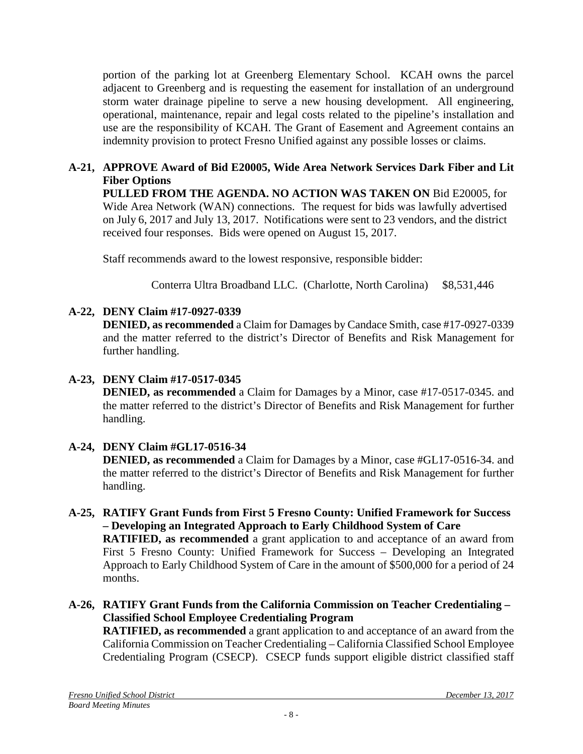portion of the parking lot at Greenberg Elementary School. KCAH owns the parcel adjacent to Greenberg and is requesting the easement for installation of an underground storm water drainage pipeline to serve a new housing development. All engineering, operational, maintenance, repair and legal costs related to the pipeline's installation and use are the responsibility of KCAH. The Grant of Easement and Agreement contains an indemnity provision to protect Fresno Unified against any possible losses or claims.

## **A-21, APPROVE Award of Bid E20005, Wide Area Network Services Dark Fiber and Lit Fiber Options**

**PULLED FROM THE AGENDA. NO ACTION WAS TAKEN ON** Bid E20005, for Wide Area Network (WAN) connections. The request for bids was lawfully advertised on July 6, 2017 and July 13, 2017. Notifications were sent to 23 vendors, and the district received four responses. Bids were opened on August 15, 2017.

Staff recommends award to the lowest responsive, responsible bidder:

Conterra Ultra Broadband LLC. (Charlotte, North Carolina) \$8,531,446

## **A-22, DENY Claim #17-0927-0339**

**DENIED, as recommended** a Claim for Damages by Candace Smith, case #17-0927-0339 and the matter referred to the district's Director of Benefits and Risk Management for further handling.

## **A-23, DENY Claim #17-0517-0345**

**DENIED, as recommended** a Claim for Damages by a Minor, case #17-0517-0345. and the matter referred to the district's Director of Benefits and Risk Management for further handling.

## **A-24, DENY Claim #GL17-0516-34**

**DENIED, as recommended** a Claim for Damages by a Minor, case #GL17-0516-34. and the matter referred to the district's Director of Benefits and Risk Management for further handling.

**A-25, RATIFY Grant Funds from First 5 Fresno County: Unified Framework for Success – Developing an Integrated Approach to Early Childhood System of Care RATIFIED, as recommended** a grant application to and acceptance of an award from First 5 Fresno County: Unified Framework for Success – Developing an Integrated Approach to Early Childhood System of Care in the amount of \$500,000 for a period of 24 months.

#### **A-26, RATIFY Grant Funds from the California Commission on Teacher Credentialing – Classified School Employee Credentialing Program**

**RATIFIED, as recommended** a grant application to and acceptance of an award from the California Commission on Teacher Credentialing – California Classified School Employee Credentialing Program (CSECP). CSECP funds support eligible district classified staff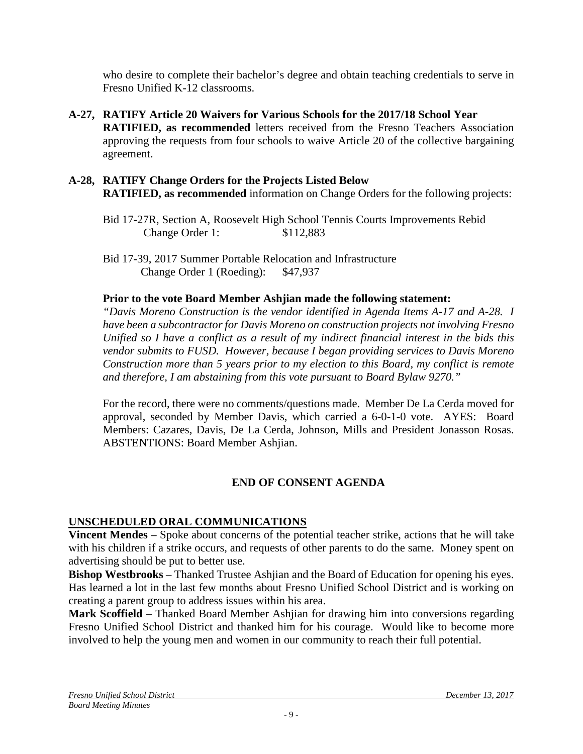who desire to complete their bachelor's degree and obtain teaching credentials to serve in Fresno Unified K-12 classrooms.

- **A-27, RATIFY Article 20 Waivers for Various Schools for the 2017/18 School Year RATIFIED, as recommended** letters received from the Fresno Teachers Association approving the requests from four schools to waive Article 20 of the collective bargaining agreement.
- **A-28, RATIFY Change Orders for the Projects Listed Below RATIFIED, as recommended** information on Change Orders for the following projects:
	- Bid 17-27R, Section A, Roosevelt High School Tennis Courts Improvements Rebid Change Order 1: \$112,883
	- Bid 17-39, 2017 Summer Portable Relocation and Infrastructure Change Order 1 (Roeding): \$47,937

## **Prior to the vote Board Member Ashjian made the following statement:**

*"Davis Moreno Construction is the vendor identified in Agenda Items A-17 and A-28. I have been a subcontractor for Davis Moreno on construction projects not involving Fresno Unified so I have a conflict as a result of my indirect financial interest in the bids this vendor submits to FUSD. However, because I began providing services to Davis Moreno Construction more than 5 years prior to my election to this Board, my conflict is remote and therefore, I am abstaining from this vote pursuant to Board Bylaw 9270."*

For the record, there were no comments/questions made. Member De La Cerda moved for approval, seconded by Member Davis, which carried a 6-0-1-0 vote. AYES: Board Members: Cazares, Davis, De La Cerda, Johnson, Mills and President Jonasson Rosas. ABSTENTIONS: Board Member Ashjian.

## **END OF CONSENT AGENDA**

## **UNSCHEDULED ORAL COMMUNICATIONS**

**Vincent Mendes** – Spoke about concerns of the potential teacher strike, actions that he will take with his children if a strike occurs, and requests of other parents to do the same. Money spent on advertising should be put to better use.

**Bishop Westbrooks** – Thanked Trustee Ashjian and the Board of Education for opening his eyes. Has learned a lot in the last few months about Fresno Unified School District and is working on creating a parent group to address issues within his area.

**Mark Scoffield** – Thanked Board Member Ashjian for drawing him into conversions regarding Fresno Unified School District and thanked him for his courage. Would like to become more involved to help the young men and women in our community to reach their full potential.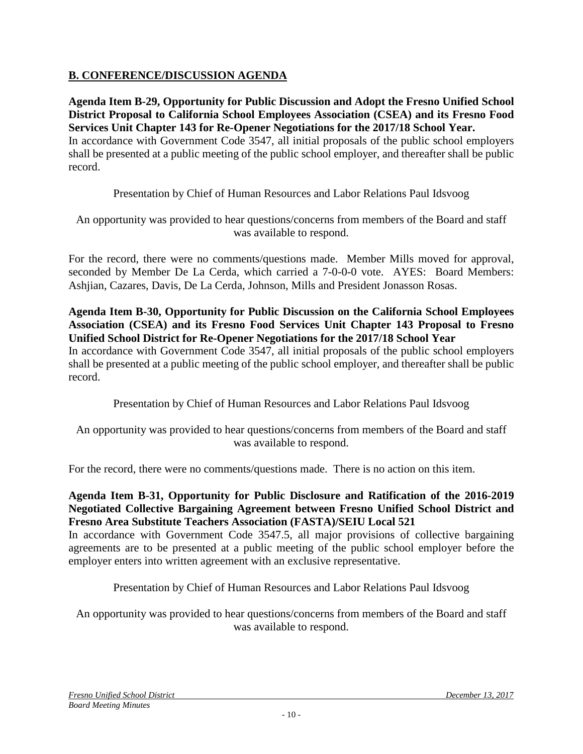## **B. CONFERENCE/DISCUSSION AGENDA**

**Agenda Item B-29, Opportunity for Public Discussion and Adopt the Fresno Unified School District Proposal to California School Employees Association (CSEA) and its Fresno Food Services Unit Chapter 143 for Re-Opener Negotiations for the 2017/18 School Year.** In accordance with Government Code 3547, all initial proposals of the public school employers shall be presented at a public meeting of the public school employer, and thereafter shall be public record.

Presentation by Chief of Human Resources and Labor Relations Paul Idsvoog

An opportunity was provided to hear questions/concerns from members of the Board and staff was available to respond.

For the record, there were no comments/questions made. Member Mills moved for approval, seconded by Member De La Cerda, which carried a 7-0-0-0 vote. AYES: Board Members: Ashjian, Cazares, Davis, De La Cerda, Johnson, Mills and President Jonasson Rosas.

#### **Agenda Item B-30, Opportunity for Public Discussion on the California School Employees Association (CSEA) and its Fresno Food Services Unit Chapter 143 Proposal to Fresno Unified School District for Re-Opener Negotiations for the 2017/18 School Year**

In accordance with Government Code 3547, all initial proposals of the public school employers shall be presented at a public meeting of the public school employer, and thereafter shall be public record.

Presentation by Chief of Human Resources and Labor Relations Paul Idsvoog

An opportunity was provided to hear questions/concerns from members of the Board and staff was available to respond.

For the record, there were no comments/questions made. There is no action on this item.

**Agenda Item B-31, Opportunity for Public Disclosure and Ratification of the 2016-2019 Negotiated Collective Bargaining Agreement between Fresno Unified School District and Fresno Area Substitute Teachers Association (FASTA)/SEIU Local 521**

In accordance with Government Code 3547.5, all major provisions of collective bargaining agreements are to be presented at a public meeting of the public school employer before the employer enters into written agreement with an exclusive representative.

Presentation by Chief of Human Resources and Labor Relations Paul Idsvoog

An opportunity was provided to hear questions/concerns from members of the Board and staff was available to respond.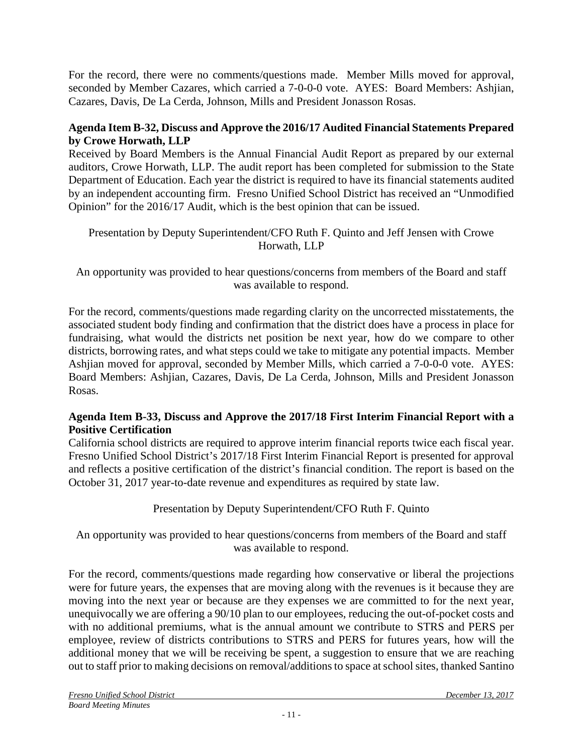For the record, there were no comments/questions made. Member Mills moved for approval, seconded by Member Cazares, which carried a 7-0-0-0 vote. AYES: Board Members: Ashjian, Cazares, Davis, De La Cerda, Johnson, Mills and President Jonasson Rosas.

## **Agenda Item B-32, Discuss and Approve the 2016/17 Audited Financial Statements Prepared by Crowe Horwath, LLP**

Received by Board Members is the Annual Financial Audit Report as prepared by our external auditors, Crowe Horwath, LLP. The audit report has been completed for submission to the State Department of Education. Each year the district is required to have its financial statements audited by an independent accounting firm. Fresno Unified School District has received an "Unmodified Opinion" for the 2016/17 Audit, which is the best opinion that can be issued.

Presentation by Deputy Superintendent/CFO Ruth F. Quinto and Jeff Jensen with Crowe Horwath, LLP

An opportunity was provided to hear questions/concerns from members of the Board and staff was available to respond.

For the record, comments/questions made regarding clarity on the uncorrected misstatements, the associated student body finding and confirmation that the district does have a process in place for fundraising, what would the districts net position be next year, how do we compare to other districts, borrowing rates, and what steps could we take to mitigate any potential impacts. Member Ashjian moved for approval, seconded by Member Mills, which carried a 7-0-0-0 vote. AYES: Board Members: Ashjian, Cazares, Davis, De La Cerda, Johnson, Mills and President Jonasson Rosas.

## **Agenda Item B-33, Discuss and Approve the 2017/18 First Interim Financial Report with a Positive Certification**

California school districts are required to approve interim financial reports twice each fiscal year. Fresno Unified School District's 2017/18 First Interim Financial Report is presented for approval and reflects a positive certification of the district's financial condition. The report is based on the October 31, 2017 year-to-date revenue and expenditures as required by state law.

Presentation by Deputy Superintendent/CFO Ruth F. Quinto

An opportunity was provided to hear questions/concerns from members of the Board and staff was available to respond.

For the record, comments/questions made regarding how conservative or liberal the projections were for future years, the expenses that are moving along with the revenues is it because they are moving into the next year or because are they expenses we are committed to for the next year, unequivocally we are offering a 90/10 plan to our employees, reducing the out-of-pocket costs and with no additional premiums, what is the annual amount we contribute to STRS and PERS per employee, review of districts contributions to STRS and PERS for futures years, how will the additional money that we will be receiving be spent, a suggestion to ensure that we are reaching out to staff prior to making decisions on removal/additions to space at school sites, thanked Santino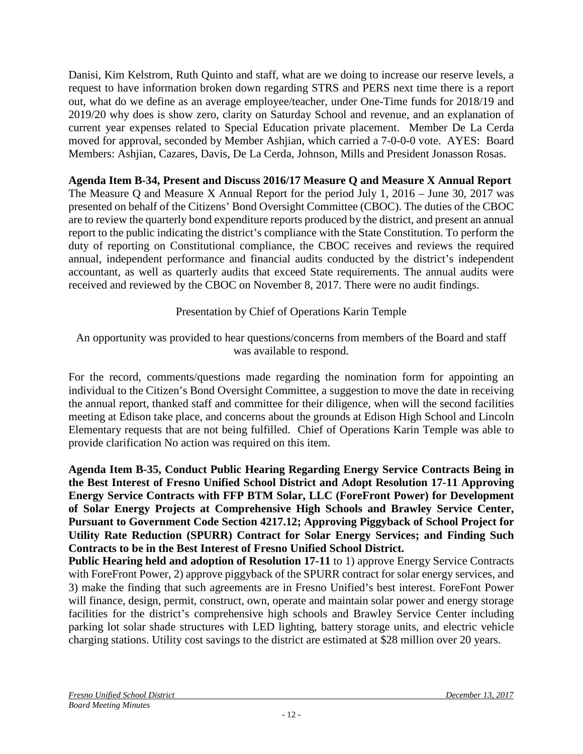Danisi, Kim Kelstrom, Ruth Quinto and staff, what are we doing to increase our reserve levels, a request to have information broken down regarding STRS and PERS next time there is a report out, what do we define as an average employee/teacher, under One-Time funds for 2018/19 and 2019/20 why does is show zero, clarity on Saturday School and revenue, and an explanation of current year expenses related to Special Education private placement. Member De La Cerda moved for approval, seconded by Member Ashjian, which carried a 7-0-0-0 vote. AYES: Board Members: Ashjian, Cazares, Davis, De La Cerda, Johnson, Mills and President Jonasson Rosas.

**Agenda Item B-34, Present and Discuss 2016/17 Measure Q and Measure X Annual Report** The Measure Q and Measure X Annual Report for the period July 1, 2016 – June 30, 2017 was presented on behalf of the Citizens' Bond Oversight Committee (CBOC). The duties of the CBOC are to review the quarterly bond expenditure reports produced by the district, and present an annual report to the public indicating the district's compliance with the State Constitution. To perform the duty of reporting on Constitutional compliance, the CBOC receives and reviews the required annual, independent performance and financial audits conducted by the district's independent accountant, as well as quarterly audits that exceed State requirements. The annual audits were received and reviewed by the CBOC on November 8, 2017. There were no audit findings.

Presentation by Chief of Operations Karin Temple

An opportunity was provided to hear questions/concerns from members of the Board and staff was available to respond.

For the record, comments/questions made regarding the nomination form for appointing an individual to the Citizen's Bond Oversight Committee, a suggestion to move the date in receiving the annual report, thanked staff and committee for their diligence, when will the second facilities meeting at Edison take place, and concerns about the grounds at Edison High School and Lincoln Elementary requests that are not being fulfilled. Chief of Operations Karin Temple was able to provide clarification No action was required on this item.

**Agenda Item B-35, Conduct Public Hearing Regarding Energy Service Contracts Being in the Best Interest of Fresno Unified School District and Adopt Resolution 17-11 Approving Energy Service Contracts with FFP BTM Solar, LLC (ForeFront Power) for Development of Solar Energy Projects at Comprehensive High Schools and Brawley Service Center, Pursuant to Government Code Section 4217.12; Approving Piggyback of School Project for Utility Rate Reduction (SPURR) Contract for Solar Energy Services; and Finding Such Contracts to be in the Best Interest of Fresno Unified School District.**

**Public Hearing held and adoption of Resolution 17-11** to 1) approve Energy Service Contracts with ForeFront Power, 2) approve piggyback of the SPURR contract for solar energy services, and 3) make the finding that such agreements are in Fresno Unified's best interest. ForeFont Power will finance, design, permit, construct, own, operate and maintain solar power and energy storage facilities for the district's comprehensive high schools and Brawley Service Center including parking lot solar shade structures with LED lighting, battery storage units, and electric vehicle charging stations. Utility cost savings to the district are estimated at \$28 million over 20 years.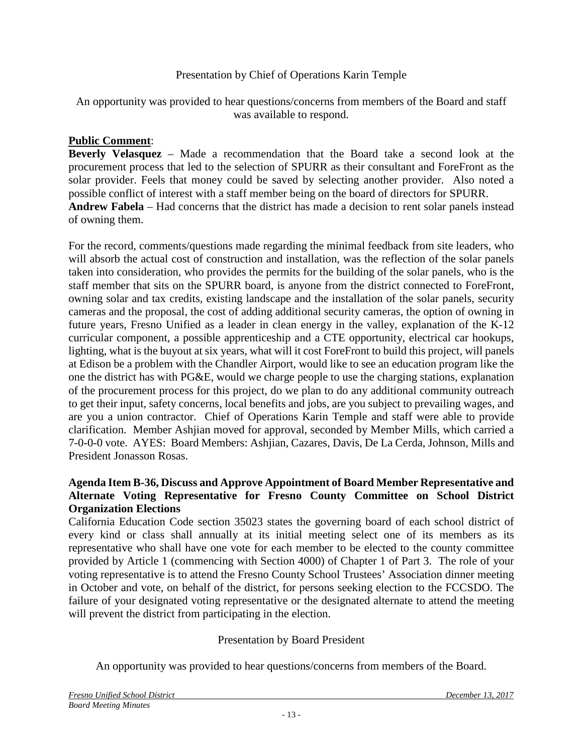### Presentation by Chief of Operations Karin Temple

An opportunity was provided to hear questions/concerns from members of the Board and staff was available to respond.

#### **Public Comment**:

**Beverly Velasquez** – Made a recommendation that the Board take a second look at the procurement process that led to the selection of SPURR as their consultant and ForeFront as the solar provider. Feels that money could be saved by selecting another provider. Also noted a possible conflict of interest with a staff member being on the board of directors for SPURR. **Andrew Fabela** – Had concerns that the district has made a decision to rent solar panels instead of owning them.

For the record, comments/questions made regarding the minimal feedback from site leaders, who will absorb the actual cost of construction and installation, was the reflection of the solar panels taken into consideration, who provides the permits for the building of the solar panels, who is the staff member that sits on the SPURR board, is anyone from the district connected to ForeFront, owning solar and tax credits, existing landscape and the installation of the solar panels, security cameras and the proposal, the cost of adding additional security cameras, the option of owning in future years, Fresno Unified as a leader in clean energy in the valley, explanation of the K-12 curricular component, a possible apprenticeship and a CTE opportunity, electrical car hookups, lighting, what is the buyout at six years, what will it cost ForeFront to build this project, will panels at Edison be a problem with the Chandler Airport, would like to see an education program like the one the district has with PG&E, would we charge people to use the charging stations, explanation of the procurement process for this project, do we plan to do any additional community outreach to get their input, safety concerns, local benefits and jobs, are you subject to prevailing wages, and are you a union contractor. Chief of Operations Karin Temple and staff were able to provide clarification. Member Ashjian moved for approval, seconded by Member Mills, which carried a 7-0-0-0 vote. AYES: Board Members: Ashjian, Cazares, Davis, De La Cerda, Johnson, Mills and President Jonasson Rosas.

#### **Agenda Item B-36, Discuss and Approve Appointment of Board Member Representative and Alternate Voting Representative for Fresno County Committee on School District Organization Elections**

California Education Code section 35023 states the governing board of each school district of every kind or class shall annually at its initial meeting select one of its members as its representative who shall have one vote for each member to be elected to the county committee provided by Article 1 (commencing with Section 4000) of Chapter 1 of Part 3. The role of your voting representative is to attend the Fresno County School Trustees' Association dinner meeting in October and vote, on behalf of the district, for persons seeking election to the FCCSDO. The failure of your designated voting representative or the designated alternate to attend the meeting will prevent the district from participating in the election.

#### Presentation by Board President

An opportunity was provided to hear questions/concerns from members of the Board.